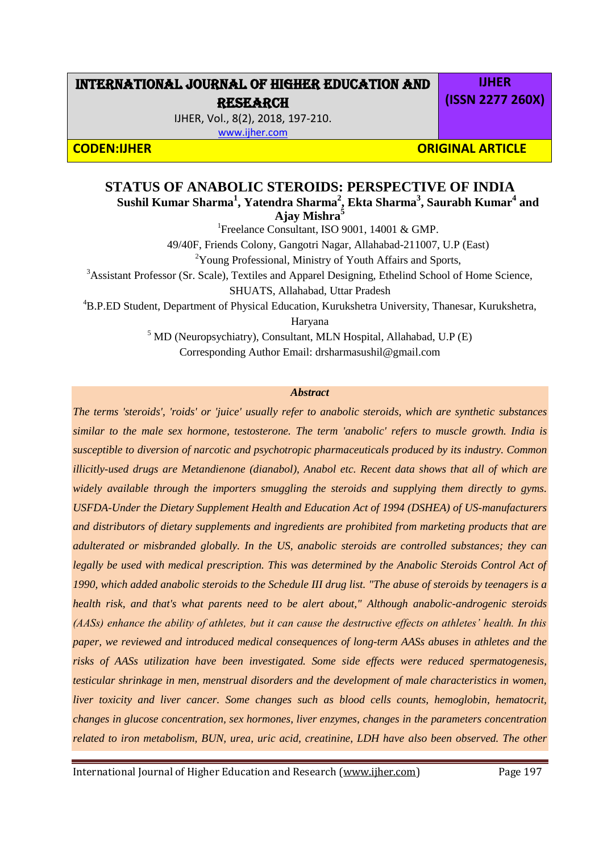# INTERNATIONAL JOURNAL OF HIGHER EDUCATION AND RESEARCH

IJHER, Vol., 8(2), 2018, 197-210.

[www.ijher.com](http://www.ijher.com/)

**CODEN:IJHER ORIGINAL ARTICLE** 

# **STATUS OF ANABOLIC STEROIDS: PERSPECTIVE OF INDIA Sushil Kumar Sharma<sup>1</sup> , Yatendra Sharma<sup>2</sup> , Ekta Sharma<sup>3</sup> , Saurabh Kumar<sup>4</sup> and**

**Ajay Mishra<sup>5</sup>** <sup>1</sup>Freelance Consultant, ISO 9001, 14001 & GMP. 49/40F, Friends Colony, Gangotri Nagar, Allahabad-211007, U.P (East) <sup>2</sup>Young Professional, Ministry of Youth Affairs and Sports, <sup>3</sup>Assistant Professor (Sr. Scale), Textiles and Apparel Designing, Ethelind School of Home Science, SHUATS, Allahabad, Uttar Pradesh <sup>4</sup>B.P.ED Student, Department of Physical Education, Kurukshetra University, Thanesar, Kurukshetra, Haryana  $<sup>5</sup>$  MD (Neuropsychiatry), Consultant, MLN Hospital, Allahabad, U.P (E)</sup>

Corresponding Author Email: [drsharmasushil@gmail.com](mailto:drsharmasushil@gmail.com)

# *Abstract*

*The terms 'steroids', 'roids' or 'juice' usually refer to anabolic steroids, which are synthetic substances similar to the male sex hormone, testosterone. The term 'anabolic' refers to muscle growth. India is susceptible to diversion of narcotic and psychotropic pharmaceuticals produced by its industry. Common illicitly-used drugs are Metandienone (dianabol), Anabol etc. Recent data shows that all of which are widely available through the importers smuggling the steroids and supplying them directly to gyms. USFDA-Under the Dietary Supplement Health and Education Act of 1994 (DSHEA) of US-manufacturers and distributors of dietary supplements and ingredients are prohibited from marketing products that are adulterated or misbranded globally. In the US, anabolic steroids are controlled substances; they can legally be used with medical prescription. This was determined by the Anabolic Steroids Control Act of 1990, which added anabolic steroids to the Schedule III drug list. "The abuse of steroids by teenagers is a health risk, and that's what parents need to be alert about," Although anabolic-androgenic steroids (AASs) enhance the ability of athletes, but it can cause the destructive effects on athletes' health. In this paper, we reviewed and introduced medical consequences of long-term AASs abuses in athletes and the risks of AASs utilization have been investigated. Some side effects were reduced spermatogenesis, testicular shrinkage in men, menstrual disorders and the development of male characteristics in women, liver toxicity and liver cancer. Some changes such as blood cells counts, hemoglobin, hematocrit, changes in glucose concentration, sex hormones, liver enzymes, changes in the parameters concentration related to iron metabolism, BUN, urea, uric acid, creatinine, LDH have also been observed. The other* 

International Journal of Higher Education and Research [\(www.ijher.com\)](http://www.ijher.com/) Page 197

**IJHER (ISSN 2277 260X)**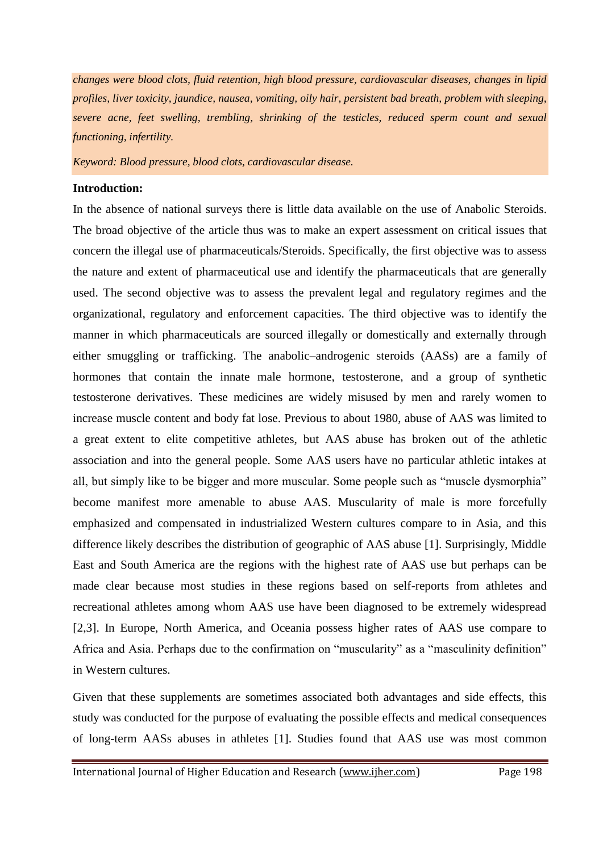*changes were blood clots, fluid retention, high blood pressure, cardiovascular diseases, changes in lipid profiles, liver toxicity, jaundice, nausea, vomiting, oily hair, persistent bad breath, problem with sleeping, severe acne, feet swelling, trembling, shrinking of the testicles, reduced sperm count and sexual functioning, infertility.*

*Keyword: Blood pressure, blood clots, cardiovascular disease.* 

## **Introduction:**

In the absence of national surveys there is little data available on the use of Anabolic Steroids. The broad objective of the article thus was to make an expert assessment on critical issues that concern the illegal use of pharmaceuticals/Steroids. Specifically, the first objective was to assess the nature and extent of pharmaceutical use and identify the pharmaceuticals that are generally used. The second objective was to assess the prevalent legal and regulatory regimes and the organizational, regulatory and enforcement capacities. The third objective was to identify the manner in which pharmaceuticals are sourced illegally or domestically and externally through either smuggling or trafficking. The anabolic–androgenic steroids (AASs) are a family of hormones that contain the innate male hormone, testosterone, and a group of synthetic testosterone derivatives. These medicines are widely misused by men and rarely women to increase muscle content and body fat lose. Previous to about 1980, abuse of AAS was limited to a great extent to elite competitive athletes, but AAS abuse has broken out of the athletic association and into the general people. Some AAS users have no particular athletic intakes at all, but simply like to be bigger and more muscular. Some people such as "muscle dysmorphia" become manifest more amenable to abuse AAS. Muscularity of male is more forcefully emphasized and compensated in industrialized Western cultures compare to in Asia, and this difference likely describes the distribution of geographic of AAS abuse [1]. Surprisingly, Middle East and South America are the regions with the highest rate of AAS use but perhaps can be made clear because most studies in these regions based on self-reports from athletes and recreational athletes among whom AAS use have been diagnosed to be extremely widespread [2,3]. In Europe, North America, and Oceania possess higher rates of AAS use compare to Africa and Asia. Perhaps due to the confirmation on "muscularity" as a "masculinity definition" in Western cultures.

Given that these supplements are sometimes associated both advantages and side effects, this study was conducted for the purpose of evaluating the possible effects and medical consequences of long-term AASs abuses in athletes [1]. Studies found that AAS use was most common

International Journal of Higher Education and Research [\(www.ijher.com\)](http://www.ijher.com/) Page 198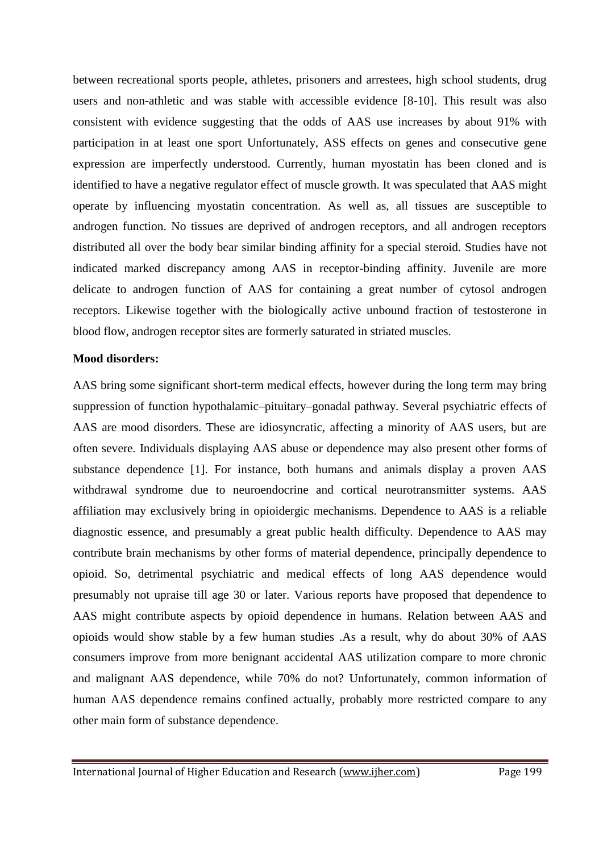between recreational sports people, athletes, prisoners and arrestees, high school students, drug users and non-athletic and was stable with accessible evidence [8-10]. This result was also consistent with evidence suggesting that the odds of AAS use increases by about 91% with participation in at least one sport Unfortunately, ASS effects on genes and consecutive gene expression are imperfectly understood. Currently, human myostatin has been cloned and is identified to have a negative regulator effect of muscle growth. It was speculated that AAS might operate by influencing myostatin concentration. As well as, all tissues are susceptible to androgen function. No tissues are deprived of androgen receptors, and all androgen receptors distributed all over the body bear similar binding affinity for a special steroid. Studies have not indicated marked discrepancy among AAS in receptor-binding affinity. Juvenile are more delicate to androgen function of AAS for containing a great number of cytosol androgen receptors. Likewise together with the biologically active unbound fraction of testosterone in blood flow, androgen receptor sites are formerly saturated in striated muscles.

#### **Mood disorders:**

AAS bring some significant short-term medical effects, however during the long term may bring suppression of function hypothalamic–pituitary–gonadal pathway. Several psychiatric effects of AAS are mood disorders. These are idiosyncratic, affecting a minority of AAS users, but are often severe. Individuals displaying AAS abuse or dependence may also present other forms of substance dependence [1]. For instance, both humans and animals display a proven AAS withdrawal syndrome due to neuroendocrine and cortical neurotransmitter systems. AAS affiliation may exclusively bring in opioidergic mechanisms. Dependence to AAS is a reliable diagnostic essence, and presumably a great public health difficulty. Dependence to AAS may contribute brain mechanisms by other forms of material dependence, principally dependence to opioid. So, detrimental psychiatric and medical effects of long AAS dependence would presumably not upraise till age 30 or later. Various reports have proposed that dependence to AAS might contribute aspects by opioid dependence in humans. Relation between AAS and opioids would show stable by a few human studies .As a result, why do about 30% of AAS consumers improve from more benignant accidental AAS utilization compare to more chronic and malignant AAS dependence, while 70% do not? Unfortunately, common information of human AAS dependence remains confined actually, probably more restricted compare to any other main form of substance dependence.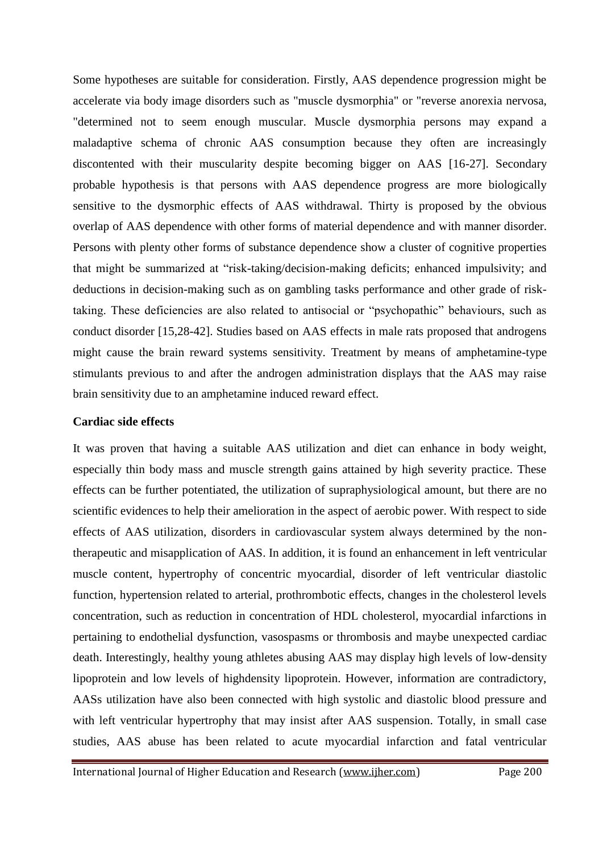Some hypotheses are suitable for consideration. Firstly, AAS dependence progression might be accelerate via body image disorders such as "muscle dysmorphia" or "reverse anorexia nervosa, "determined not to seem enough muscular. Muscle dysmorphia persons may expand a maladaptive schema of chronic AAS consumption because they often are increasingly discontented with their muscularity despite becoming bigger on AAS [16-27]. Secondary probable hypothesis is that persons with AAS dependence progress are more biologically sensitive to the dysmorphic effects of AAS withdrawal. Thirty is proposed by the obvious overlap of AAS dependence with other forms of material dependence and with manner disorder. Persons with plenty other forms of substance dependence show a cluster of cognitive properties that might be summarized at "risk-taking/decision-making deficits; enhanced impulsivity; and deductions in decision-making such as on gambling tasks performance and other grade of risktaking. These deficiencies are also related to antisocial or "psychopathic" behaviours, such as conduct disorder [15,28-42]. Studies based on AAS effects in male rats proposed that androgens might cause the brain reward systems sensitivity. Treatment by means of amphetamine-type stimulants previous to and after the androgen administration displays that the AAS may raise brain sensitivity due to an amphetamine induced reward effect.

#### **Cardiac side effects**

It was proven that having a suitable AAS utilization and diet can enhance in body weight, especially thin body mass and muscle strength gains attained by high severity practice. These effects can be further potentiated, the utilization of supraphysiological amount, but there are no scientific evidences to help their amelioration in the aspect of aerobic power. With respect to side effects of AAS utilization, disorders in cardiovascular system always determined by the nontherapeutic and misapplication of AAS. In addition, it is found an enhancement in left ventricular muscle content, hypertrophy of concentric myocardial, disorder of left ventricular diastolic function, hypertension related to arterial, prothrombotic effects, changes in the cholesterol levels concentration, such as reduction in concentration of HDL cholesterol, myocardial infarctions in pertaining to endothelial dysfunction, vasospasms or thrombosis and maybe unexpected cardiac death. Interestingly, healthy young athletes abusing AAS may display high levels of low-density lipoprotein and low levels of highdensity lipoprotein. However, information are contradictory, AASs utilization have also been connected with high systolic and diastolic blood pressure and with left ventricular hypertrophy that may insist after AAS suspension. Totally, in small case studies, AAS abuse has been related to acute myocardial infarction and fatal ventricular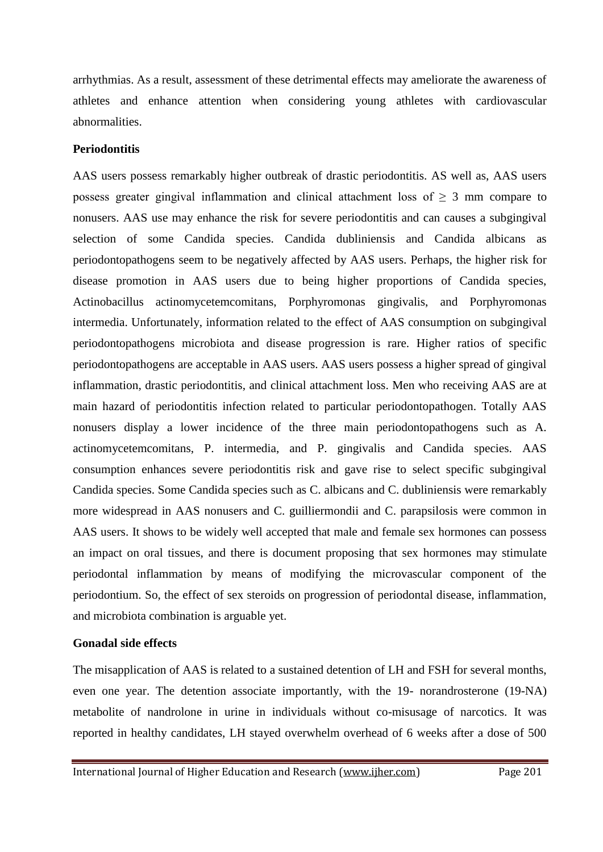arrhythmias. As a result, assessment of these detrimental effects may ameliorate the awareness of athletes and enhance attention when considering young athletes with cardiovascular abnormalities.

## **Periodontitis**

AAS users possess remarkably higher outbreak of drastic periodontitis. AS well as, AAS users possess greater gingival inflammation and clinical attachment loss of  $\geq 3$  mm compare to nonusers. AAS use may enhance the risk for severe periodontitis and can causes a subgingival selection of some Candida species. Candida dubliniensis and Candida albicans as periodontopathogens seem to be negatively affected by AAS users. Perhaps, the higher risk for disease promotion in AAS users due to being higher proportions of Candida species, Actinobacillus actinomycetemcomitans, Porphyromonas gingivalis, and Porphyromonas intermedia. Unfortunately, information related to the effect of AAS consumption on subgingival periodontopathogens microbiota and disease progression is rare. Higher ratios of specific periodontopathogens are acceptable in AAS users. AAS users possess a higher spread of gingival inflammation, drastic periodontitis, and clinical attachment loss. Men who receiving AAS are at main hazard of periodontitis infection related to particular periodontopathogen. Totally AAS nonusers display a lower incidence of the three main periodontopathogens such as A. actinomycetemcomitans, P. intermedia, and P. gingivalis and Candida species. AAS consumption enhances severe periodontitis risk and gave rise to select specific subgingival Candida species. Some Candida species such as C. albicans and C. dubliniensis were remarkably more widespread in AAS nonusers and C. guilliermondii and C. parapsilosis were common in AAS users. It shows to be widely well accepted that male and female sex hormones can possess an impact on oral tissues, and there is document proposing that sex hormones may stimulate periodontal inflammation by means of modifying the microvascular component of the periodontium. So, the effect of sex steroids on progression of periodontal disease, inflammation, and microbiota combination is arguable yet.

#### **Gonadal side effects**

The misapplication of AAS is related to a sustained detention of LH and FSH for several months, even one year. The detention associate importantly, with the 19- norandrosterone (19-NA) metabolite of nandrolone in urine in individuals without co-misusage of narcotics. It was reported in healthy candidates, LH stayed overwhelm overhead of 6 weeks after a dose of 500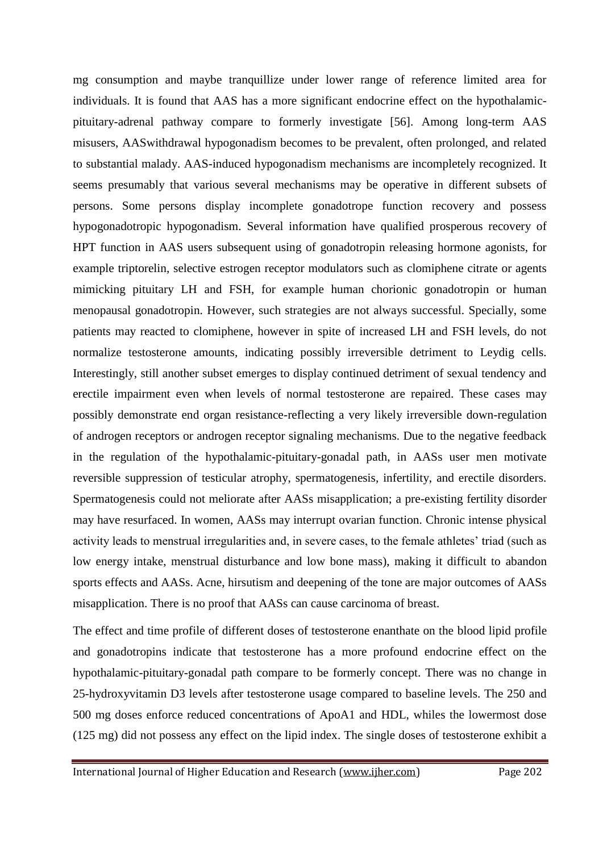mg consumption and maybe tranquillize under lower range of reference limited area for individuals. It is found that AAS has a more significant endocrine effect on the hypothalamicpituitary-adrenal pathway compare to formerly investigate [56]. Among long-term AAS misusers, AASwithdrawal hypogonadism becomes to be prevalent, often prolonged, and related to substantial malady. AAS-induced hypogonadism mechanisms are incompletely recognized. It seems presumably that various several mechanisms may be operative in different subsets of persons. Some persons display incomplete gonadotrope function recovery and possess hypogonadotropic hypogonadism. Several information have qualified prosperous recovery of HPT function in AAS users subsequent using of gonadotropin releasing hormone agonists, for example triptorelin, selective estrogen receptor modulators such as clomiphene citrate or agents mimicking pituitary LH and FSH, for example human chorionic gonadotropin or human menopausal gonadotropin. However, such strategies are not always successful. Specially, some patients may reacted to clomiphene, however in spite of increased LH and FSH levels, do not normalize testosterone amounts, indicating possibly irreversible detriment to Leydig cells. Interestingly, still another subset emerges to display continued detriment of sexual tendency and erectile impairment even when levels of normal testosterone are repaired. These cases may possibly demonstrate end organ resistance-reflecting a very likely irreversible down-regulation of androgen receptors or androgen receptor signaling mechanisms. Due to the negative feedback in the regulation of the hypothalamic-pituitary-gonadal path, in AASs user men motivate reversible suppression of testicular atrophy, spermatogenesis, infertility, and erectile disorders. Spermatogenesis could not meliorate after AASs misapplication; a pre-existing fertility disorder may have resurfaced. In women, AASs may interrupt ovarian function. Chronic intense physical activity leads to menstrual irregularities and, in severe cases, to the female athletes' triad (such as low energy intake, menstrual disturbance and low bone mass), making it difficult to abandon sports effects and AASs. Acne, hirsutism and deepening of the tone are major outcomes of AASs misapplication. There is no proof that AASs can cause carcinoma of breast.

The effect and time profile of different doses of testosterone enanthate on the blood lipid profile and gonadotropins indicate that testosterone has a more profound endocrine effect on the hypothalamic-pituitary-gonadal path compare to be formerly concept. There was no change in 25-hydroxyvitamin D3 levels after testosterone usage compared to baseline levels. The 250 and 500 mg doses enforce reduced concentrations of ApoA1 and HDL, whiles the lowermost dose (125 mg) did not possess any effect on the lipid index. The single doses of testosterone exhibit a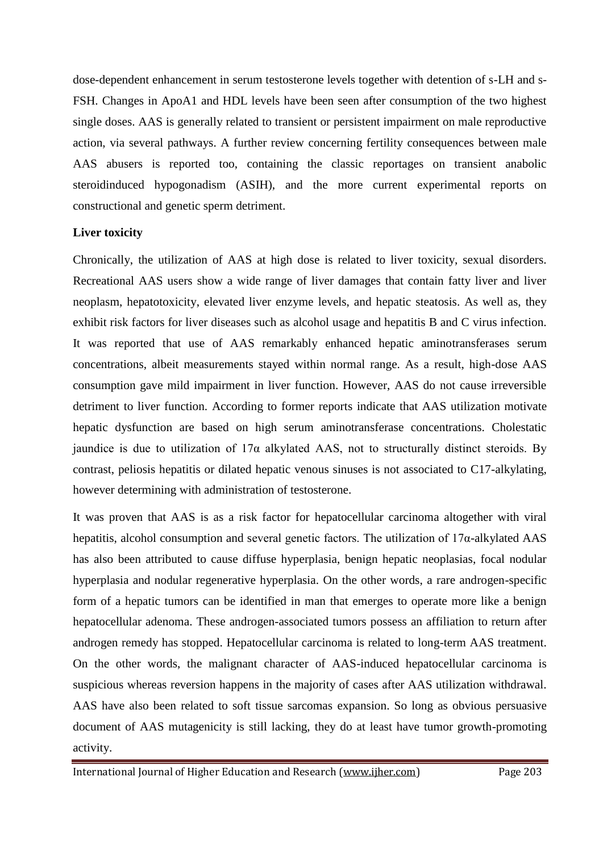dose-dependent enhancement in serum testosterone levels together with detention of s-LH and s-FSH. Changes in ApoA1 and HDL levels have been seen after consumption of the two highest single doses. AAS is generally related to transient or persistent impairment on male reproductive action, via several pathways. A further review concerning fertility consequences between male AAS abusers is reported too, containing the classic reportages on transient anabolic steroidinduced hypogonadism (ASIH), and the more current experimental reports on constructional and genetic sperm detriment.

# **Liver toxicity**

Chronically, the utilization of AAS at high dose is related to liver toxicity, sexual disorders. Recreational AAS users show a wide range of liver damages that contain fatty liver and liver neoplasm, hepatotoxicity, elevated liver enzyme levels, and hepatic steatosis. As well as, they exhibit risk factors for liver diseases such as alcohol usage and hepatitis B and C virus infection. It was reported that use of AAS remarkably enhanced hepatic aminotransferases serum concentrations, albeit measurements stayed within normal range. As a result, high-dose AAS consumption gave mild impairment in liver function. However, AAS do not cause irreversible detriment to liver function. According to former reports indicate that AAS utilization motivate hepatic dysfunction are based on high serum aminotransferase concentrations. Cholestatic jaundice is due to utilization of  $17\alpha$  alkylated AAS, not to structurally distinct steroids. By contrast, peliosis hepatitis or dilated hepatic venous sinuses is not associated to C17-alkylating, however determining with administration of testosterone.

It was proven that AAS is as a risk factor for hepatocellular carcinoma altogether with viral hepatitis, alcohol consumption and several genetic factors. The utilization of 17α-alkylated AAS has also been attributed to cause diffuse hyperplasia, benign hepatic neoplasias, focal nodular hyperplasia and nodular regenerative hyperplasia. On the other words, a rare androgen-specific form of a hepatic tumors can be identified in man that emerges to operate more like a benign hepatocellular adenoma. These androgen-associated tumors possess an affiliation to return after androgen remedy has stopped. Hepatocellular carcinoma is related to long-term AAS treatment. On the other words, the malignant character of AAS-induced hepatocellular carcinoma is suspicious whereas reversion happens in the majority of cases after AAS utilization withdrawal. AAS have also been related to soft tissue sarcomas expansion. So long as obvious persuasive document of AAS mutagenicity is still lacking, they do at least have tumor growth-promoting activity.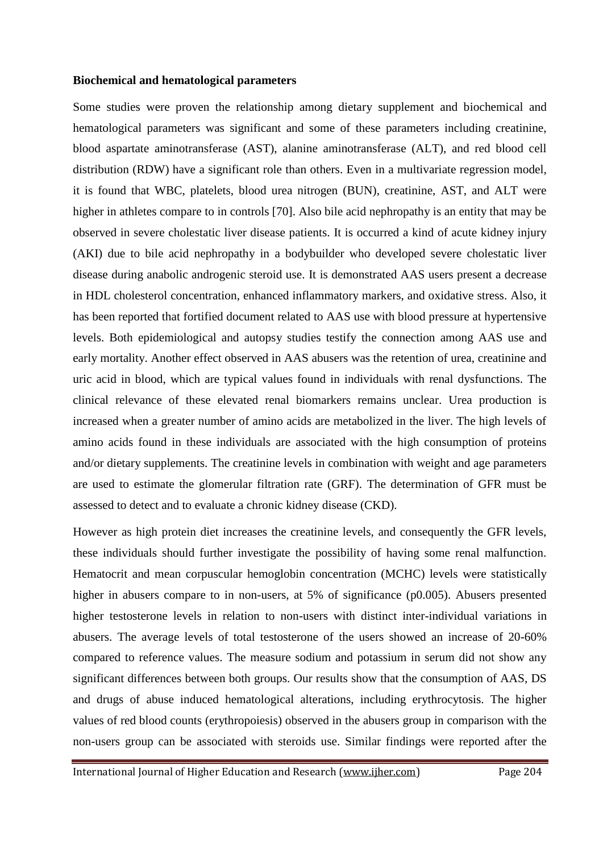#### **Biochemical and hematological parameters**

Some studies were proven the relationship among dietary supplement and biochemical and hematological parameters was significant and some of these parameters including creatinine, blood aspartate aminotransferase (AST), alanine aminotransferase (ALT), and red blood cell distribution (RDW) have a significant role than others. Even in a multivariate regression model, it is found that WBC, platelets, blood urea nitrogen (BUN), creatinine, AST, and ALT were higher in athletes compare to in controls [70]. Also bile acid nephropathy is an entity that may be observed in severe cholestatic liver disease patients. It is occurred a kind of acute kidney injury (AKI) due to bile acid nephropathy in a bodybuilder who developed severe cholestatic liver disease during anabolic androgenic steroid use. It is demonstrated AAS users present a decrease in HDL cholesterol concentration, enhanced inflammatory markers, and oxidative stress. Also, it has been reported that fortified document related to AAS use with blood pressure at hypertensive levels. Both epidemiological and autopsy studies testify the connection among AAS use and early mortality. Another effect observed in AAS abusers was the retention of urea, creatinine and uric acid in blood, which are typical values found in individuals with renal dysfunctions. The clinical relevance of these elevated renal biomarkers remains unclear. Urea production is increased when a greater number of amino acids are metabolized in the liver. The high levels of amino acids found in these individuals are associated with the high consumption of proteins and/or dietary supplements. The creatinine levels in combination with weight and age parameters are used to estimate the glomerular filtration rate (GRF). The determination of GFR must be assessed to detect and to evaluate a chronic kidney disease (CKD).

However as high protein diet increases the creatinine levels, and consequently the GFR levels, these individuals should further investigate the possibility of having some renal malfunction. Hematocrit and mean corpuscular hemoglobin concentration (MCHC) levels were statistically higher in abusers compare to in non-users, at 5% of significance (p0.005). Abusers presented higher testosterone levels in relation to non-users with distinct inter-individual variations in abusers. The average levels of total testosterone of the users showed an increase of 20-60% compared to reference values. The measure sodium and potassium in serum did not show any significant differences between both groups. Our results show that the consumption of AAS, DS and drugs of abuse induced hematological alterations, including erythrocytosis. The higher values of red blood counts (erythropoiesis) observed in the abusers group in comparison with the non-users group can be associated with steroids use. Similar findings were reported after the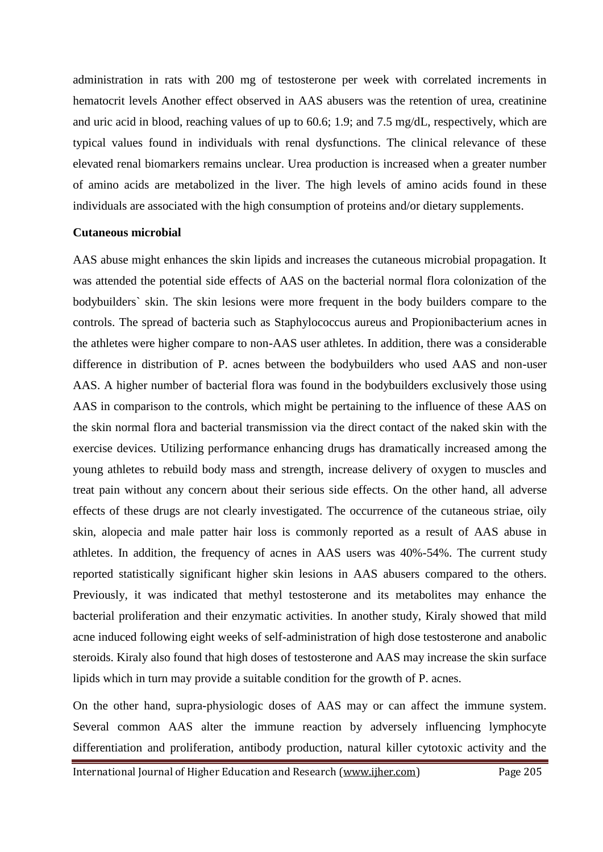administration in rats with 200 mg of testosterone per week with correlated increments in hematocrit levels Another effect observed in AAS abusers was the retention of urea, creatinine and uric acid in blood, reaching values of up to 60.6; 1.9; and 7.5 mg/dL, respectively, which are typical values found in individuals with renal dysfunctions. The clinical relevance of these elevated renal biomarkers remains unclear. Urea production is increased when a greater number of amino acids are metabolized in the liver. The high levels of amino acids found in these individuals are associated with the high consumption of proteins and/or dietary supplements.

#### **Cutaneous microbial**

AAS abuse might enhances the skin lipids and increases the cutaneous microbial propagation. It was attended the potential side effects of AAS on the bacterial normal flora colonization of the bodybuilders` skin. The skin lesions were more frequent in the body builders compare to the controls. The spread of bacteria such as Staphylococcus aureus and Propionibacterium acnes in the athletes were higher compare to non-AAS user athletes. In addition, there was a considerable difference in distribution of P. acnes between the bodybuilders who used AAS and non-user AAS. A higher number of bacterial flora was found in the bodybuilders exclusively those using AAS in comparison to the controls, which might be pertaining to the influence of these AAS on the skin normal flora and bacterial transmission via the direct contact of the naked skin with the exercise devices. Utilizing performance enhancing drugs has dramatically increased among the young athletes to rebuild body mass and strength, increase delivery of oxygen to muscles and treat pain without any concern about their serious side effects. On the other hand, all adverse effects of these drugs are not clearly investigated. The occurrence of the cutaneous striae, oily skin, alopecia and male patter hair loss is commonly reported as a result of AAS abuse in athletes. In addition, the frequency of acnes in AAS users was 40%-54%. The current study reported statistically significant higher skin lesions in AAS abusers compared to the others. Previously, it was indicated that methyl testosterone and its metabolites may enhance the bacterial proliferation and their enzymatic activities. In another study, Kiraly showed that mild acne induced following eight weeks of self-administration of high dose testosterone and anabolic steroids. Kiraly also found that high doses of testosterone and AAS may increase the skin surface lipids which in turn may provide a suitable condition for the growth of P. acnes.

On the other hand, supra-physiologic doses of AAS may or can affect the immune system. Several common AAS alter the immune reaction by adversely influencing lymphocyte differentiation and proliferation, antibody production, natural killer cytotoxic activity and the

International Journal of Higher Education and Research [\(www.ijher.com\)](http://www.ijher.com/) Page 205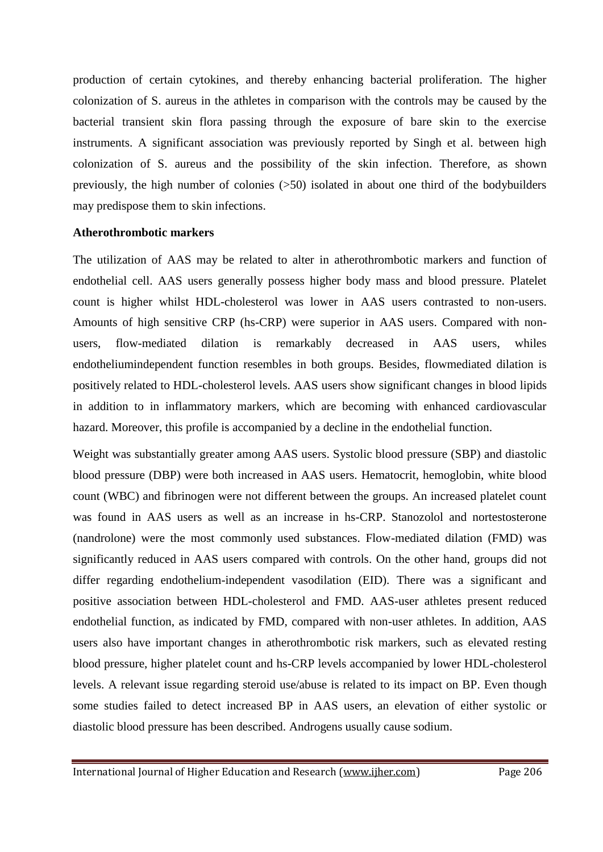production of certain cytokines, and thereby enhancing bacterial proliferation. The higher colonization of S. aureus in the athletes in comparison with the controls may be caused by the bacterial transient skin flora passing through the exposure of bare skin to the exercise instruments. A significant association was previously reported by Singh et al. between high colonization of S. aureus and the possibility of the skin infection. Therefore, as shown previously, the high number of colonies  $(50)$  isolated in about one third of the bodybuilders may predispose them to skin infections.

#### **Atherothrombotic markers**

The utilization of AAS may be related to alter in atherothrombotic markers and function of endothelial cell. AAS users generally possess higher body mass and blood pressure. Platelet count is higher whilst HDL-cholesterol was lower in AAS users contrasted to non-users. Amounts of high sensitive CRP (hs-CRP) were superior in AAS users. Compared with nonusers, flow-mediated dilation is remarkably decreased in AAS users, whiles endotheliumindependent function resembles in both groups. Besides, flowmediated dilation is positively related to HDL-cholesterol levels. AAS users show significant changes in blood lipids in addition to in inflammatory markers, which are becoming with enhanced cardiovascular hazard. Moreover, this profile is accompanied by a decline in the endothelial function.

Weight was substantially greater among AAS users. Systolic blood pressure (SBP) and diastolic blood pressure (DBP) were both increased in AAS users. Hematocrit, hemoglobin, white blood count (WBC) and fibrinogen were not different between the groups. An increased platelet count was found in AAS users as well as an increase in hs-CRP. Stanozolol and nortestosterone (nandrolone) were the most commonly used substances. Flow-mediated dilation (FMD) was significantly reduced in AAS users compared with controls. On the other hand, groups did not differ regarding endothelium-independent vasodilation (EID). There was a significant and positive association between HDL-cholesterol and FMD. AAS-user athletes present reduced endothelial function, as indicated by FMD, compared with non-user athletes. In addition, AAS users also have important changes in atherothrombotic risk markers, such as elevated resting blood pressure, higher platelet count and hs-CRP levels accompanied by lower HDL-cholesterol levels. A relevant issue regarding steroid use/abuse is related to its impact on BP. Even though some studies failed to detect increased BP in AAS users, an elevation of either systolic or diastolic blood pressure has been described. Androgens usually cause sodium.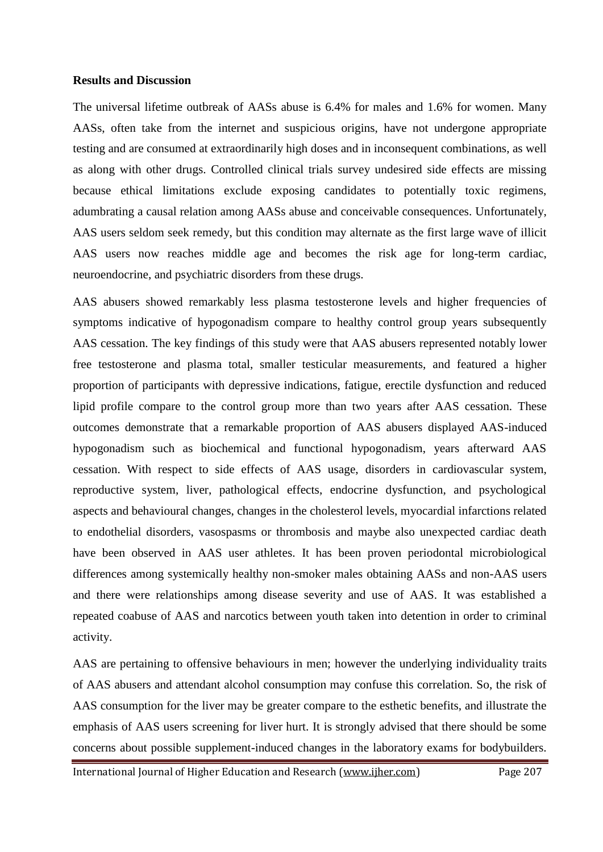#### **Results and Discussion**

The universal lifetime outbreak of AASs abuse is 6.4% for males and 1.6% for women. Many AASs, often take from the internet and suspicious origins, have not undergone appropriate testing and are consumed at extraordinarily high doses and in inconsequent combinations, as well as along with other drugs. Controlled clinical trials survey undesired side effects are missing because ethical limitations exclude exposing candidates to potentially toxic regimens, adumbrating a causal relation among AASs abuse and conceivable consequences. Unfortunately, AAS users seldom seek remedy, but this condition may alternate as the first large wave of illicit AAS users now reaches middle age and becomes the risk age for long-term cardiac, neuroendocrine, and psychiatric disorders from these drugs.

AAS abusers showed remarkably less plasma testosterone levels and higher frequencies of symptoms indicative of hypogonadism compare to healthy control group years subsequently AAS cessation. The key findings of this study were that AAS abusers represented notably lower free testosterone and plasma total, smaller testicular measurements, and featured a higher proportion of participants with depressive indications, fatigue, erectile dysfunction and reduced lipid profile compare to the control group more than two years after AAS cessation. These outcomes demonstrate that a remarkable proportion of AAS abusers displayed AAS-induced hypogonadism such as biochemical and functional hypogonadism, years afterward AAS cessation. With respect to side effects of AAS usage, disorders in cardiovascular system, reproductive system, liver, pathological effects, endocrine dysfunction, and psychological aspects and behavioural changes, changes in the cholesterol levels, myocardial infarctions related to endothelial disorders, vasospasms or thrombosis and maybe also unexpected cardiac death have been observed in AAS user athletes. It has been proven periodontal microbiological differences among systemically healthy non-smoker males obtaining AASs and non-AAS users and there were relationships among disease severity and use of AAS. It was established a repeated coabuse of AAS and narcotics between youth taken into detention in order to criminal activity.

AAS are pertaining to offensive behaviours in men; however the underlying individuality traits of AAS abusers and attendant alcohol consumption may confuse this correlation. So, the risk of AAS consumption for the liver may be greater compare to the esthetic benefits, and illustrate the emphasis of AAS users screening for liver hurt. It is strongly advised that there should be some concerns about possible supplement-induced changes in the laboratory exams for bodybuilders.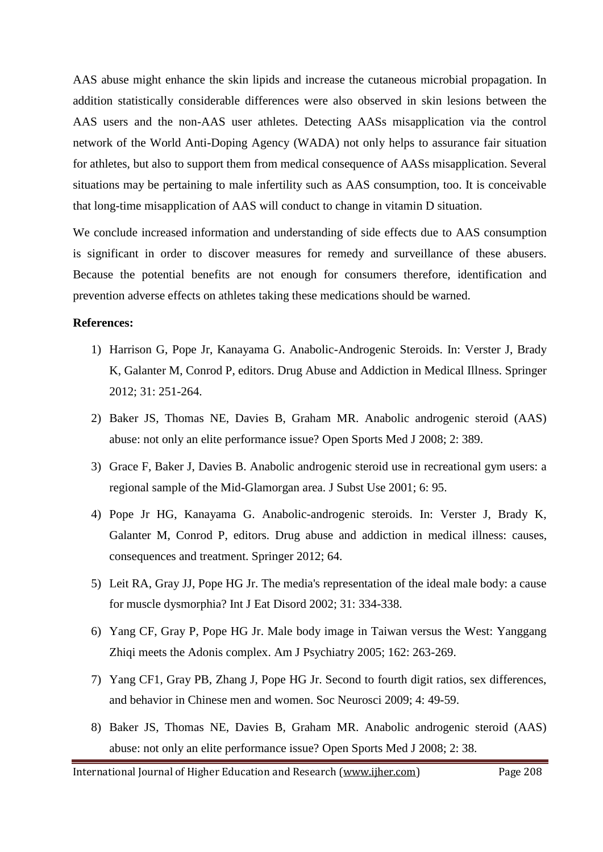AAS abuse might enhance the skin lipids and increase the cutaneous microbial propagation. In addition statistically considerable differences were also observed in skin lesions between the AAS users and the non-AAS user athletes. Detecting AASs misapplication via the control network of the World Anti-Doping Agency (WADA) not only helps to assurance fair situation for athletes, but also to support them from medical consequence of AASs misapplication. Several situations may be pertaining to male infertility such as AAS consumption, too. It is conceivable that long-time misapplication of AAS will conduct to change in vitamin D situation.

We conclude increased information and understanding of side effects due to AAS consumption is significant in order to discover measures for remedy and surveillance of these abusers. Because the potential benefits are not enough for consumers therefore, identification and prevention adverse effects on athletes taking these medications should be warned.

#### **References:**

- 1) Harrison G, Pope Jr, Kanayama G. Anabolic-Androgenic Steroids. In: Verster J, Brady K, Galanter M, Conrod P, editors. Drug Abuse and Addiction in Medical Illness. Springer 2012; 31: 251-264.
- 2) Baker JS, Thomas NE, Davies B, Graham MR. Anabolic androgenic steroid (AAS) abuse: not only an elite performance issue? Open Sports Med J 2008; 2: 389.
- 3) Grace F, Baker J, Davies B. Anabolic androgenic steroid use in recreational gym users: a regional sample of the Mid-Glamorgan area. J Subst Use 2001; 6: 95.
- 4) Pope Jr HG, Kanayama G. Anabolic-androgenic steroids. In: Verster J, Brady K, Galanter M, Conrod P, editors. Drug abuse and addiction in medical illness: causes, consequences and treatment. Springer 2012; 64.
- 5) Leit RA, Gray JJ, Pope HG Jr. The media's representation of the ideal male body: a cause for muscle dysmorphia? Int J Eat Disord 2002; 31: 334-338.
- 6) Yang CF, Gray P, Pope HG Jr. Male body image in Taiwan versus the West: Yanggang Zhiqi meets the Adonis complex. Am J Psychiatry 2005; 162: 263-269.
- 7) Yang CF1, Gray PB, Zhang J, Pope HG Jr. Second to fourth digit ratios, sex differences, and behavior in Chinese men and women. Soc Neurosci 2009; 4: 49-59.
- 8) Baker JS, Thomas NE, Davies B, Graham MR. Anabolic androgenic steroid (AAS) abuse: not only an elite performance issue? Open Sports Med J 2008; 2: 38.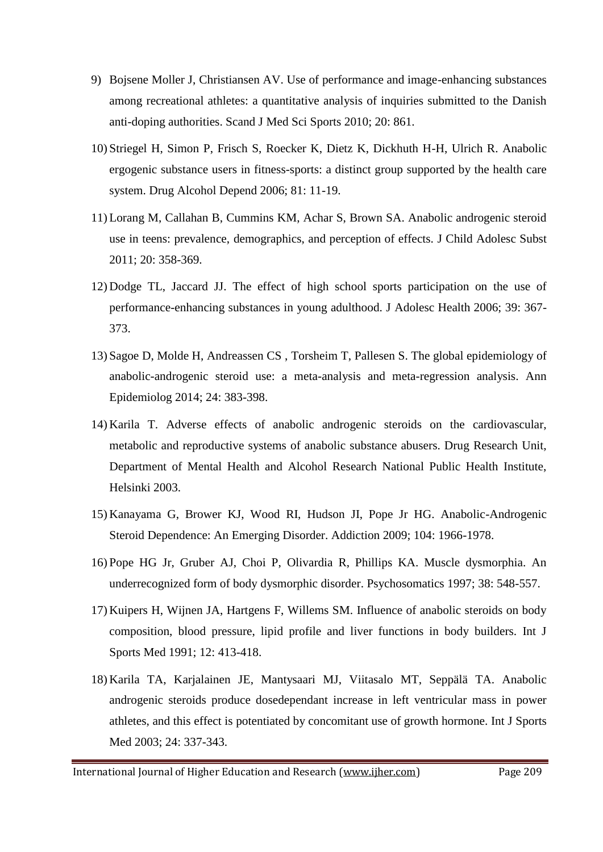- 9) Bojsene Moller J, Christiansen AV. Use of performance and image-enhancing substances among recreational athletes: a quantitative analysis of inquiries submitted to the Danish anti-doping authorities. Scand J Med Sci Sports 2010; 20: 861.
- 10) Striegel H, Simon P, Frisch S, Roecker K, Dietz K, Dickhuth H-H, Ulrich R. Anabolic ergogenic substance users in fitness-sports: a distinct group supported by the health care system. Drug Alcohol Depend 2006; 81: 11-19.
- 11) Lorang M, Callahan B, Cummins KM, Achar S, Brown SA. Anabolic androgenic steroid use in teens: prevalence, demographics, and perception of effects. J Child Adolesc Subst 2011; 20: 358-369.
- 12) Dodge TL, Jaccard JJ. The effect of high school sports participation on the use of performance-enhancing substances in young adulthood. J Adolesc Health 2006; 39: 367- 373.
- 13) Sagoe D, Molde H, Andreassen CS , Torsheim T, Pallesen S. The global epidemiology of anabolic-androgenic steroid use: a meta-analysis and meta-regression analysis. Ann Epidemiolog 2014; 24: 383-398.
- 14) Karila T. Adverse effects of anabolic androgenic steroids on the cardiovascular, metabolic and reproductive systems of anabolic substance abusers. Drug Research Unit, Department of Mental Health and Alcohol Research National Public Health Institute, Helsinki 2003.
- 15) Kanayama G, Brower KJ, Wood RI, Hudson JI, Pope Jr HG. Anabolic-Androgenic Steroid Dependence: An Emerging Disorder. Addiction 2009; 104: 1966-1978.
- 16) Pope HG Jr, Gruber AJ, Choi P, Olivardia R, Phillips KA. Muscle dysmorphia. An underrecognized form of body dysmorphic disorder. Psychosomatics 1997; 38: 548-557.
- 17) Kuipers H, Wijnen JA, Hartgens F, Willems SM. Influence of anabolic steroids on body composition, blood pressure, lipid profile and liver functions in body builders. Int J Sports Med 1991; 12: 413-418.
- 18) Karila TA, Karjalainen JE, Mantysaari MJ, Viitasalo MT, Seppälä TA. Anabolic androgenic steroids produce dosedependant increase in left ventricular mass in power athletes, and this effect is potentiated by concomitant use of growth hormone. Int J Sports Med 2003; 24: 337-343.

International Journal of Higher Education and Research [\(www.ijher.com\)](http://www.ijher.com/) Page 209